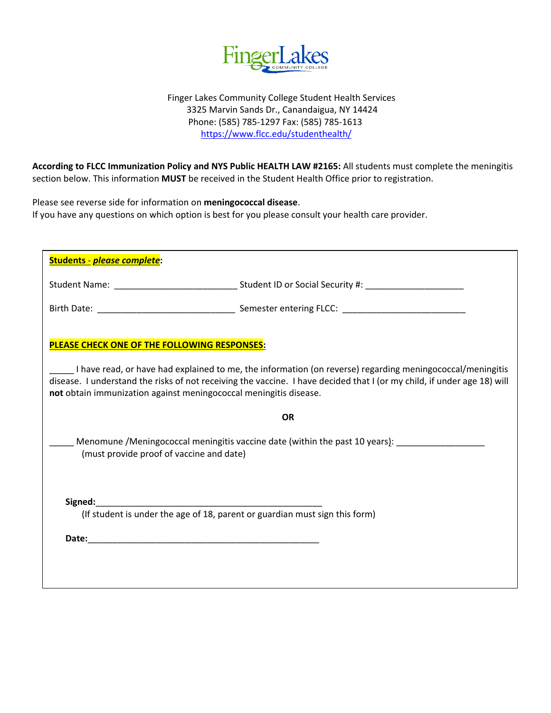

 Finger Lakes Community College Student Health Services 3325 Marvin Sands Dr., Canandaigua, NY 14424 Phone: (585) 785-1297 Fax: (585) 785-1613 <https://www.flcc.edu/studenthealth/>

**According to FLCC Immunization Policy and NYS Public HEALTH LAW #2165:** All students must complete the meningitis section below. This information **MUST** be received in the Student Health Office prior to registration.

Please see reverse side for information on **meningococcal disease**. If you have any questions on which option is best for you please consult your health care provider.

| <b>Students - please complete:</b>                                                                                                                                                                                                                                                                        |  |
|-----------------------------------------------------------------------------------------------------------------------------------------------------------------------------------------------------------------------------------------------------------------------------------------------------------|--|
|                                                                                                                                                                                                                                                                                                           |  |
|                                                                                                                                                                                                                                                                                                           |  |
| PLEASE CHECK ONE OF THE FOLLOWING RESPONSES:                                                                                                                                                                                                                                                              |  |
| I have read, or have had explained to me, the information (on reverse) regarding meningococcal/meningitis<br>disease. I understand the risks of not receiving the vaccine. I have decided that I (or my child, if under age 18) will<br>not obtain immunization against meningococcal meningitis disease. |  |
| <b>OR</b>                                                                                                                                                                                                                                                                                                 |  |
| Menomune /Meningococcal meningitis vaccine date (within the past 10 years): ________________________<br>(must provide proof of vaccine and date)                                                                                                                                                          |  |
| Signed:                                                                                                                                                                                                                                                                                                   |  |
| (If student is under the age of 18, parent or guardian must sign this form)                                                                                                                                                                                                                               |  |
|                                                                                                                                                                                                                                                                                                           |  |
|                                                                                                                                                                                                                                                                                                           |  |
|                                                                                                                                                                                                                                                                                                           |  |